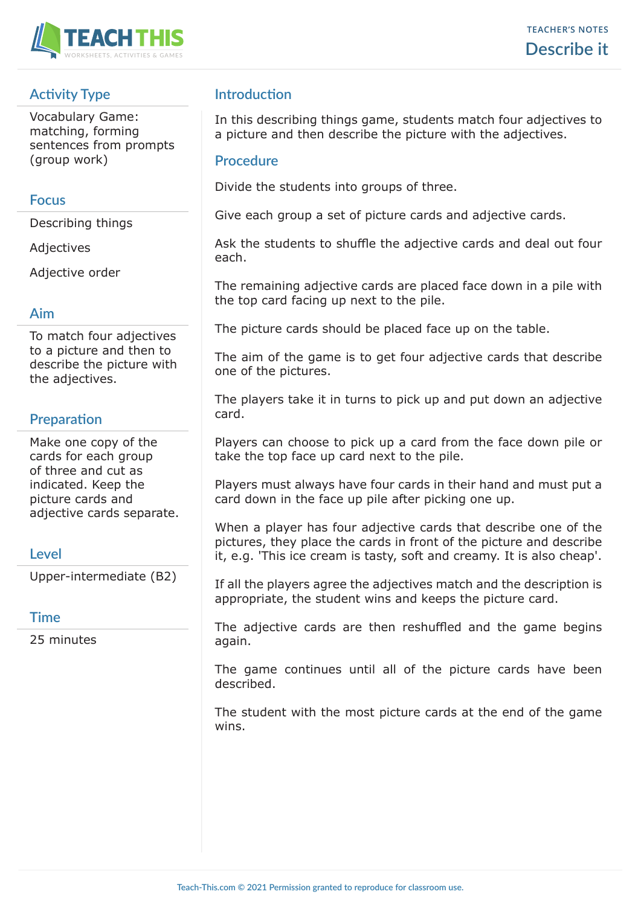

# **Activity Type**

Vocabulary Game: matching, forming sentences from prompts (group work)

## **Focus**

Describing things

Adjectives

Adjective order

## **Aim**

To match four adjectives to a picture and then to describe the picture with the adjectives.

# **Preparation**

Make one copy of the cards for each group of three and cut as indicated. Keep the picture cards and adjective cards separate.

## **Level**

Upper-intermediate (B2)

#### **Time**

25 minutes

# **Introduction**

In this describing things game, students match four adjectives to a picture and then describe the picture with the adjectives.

### **Procedure**

Divide the students into groups of three.

Give each group a set of picture cards and adjective cards.

Ask the students to shuffle the adjective cards and deal out four each.

The remaining adjective cards are placed face down in a pile with the top card facing up next to the pile.

The picture cards should be placed face up on the table.

The aim of the game is to get four adjective cards that describe one of the pictures.

The players take it in turns to pick up and put down an adjective card.

Players can choose to pick up a card from the face down pile or take the top face up card next to the pile.

Players must always have four cards in their hand and must put a card down in the face up pile after picking one up.

When a player has four adjective cards that describe one of the pictures, they place the cards in front of the picture and describe it, e.g. 'This ice cream is tasty, soft and creamy. It is also cheap'.

If all the players agree the adjectives match and the description is appropriate, the student wins and keeps the picture card.

The adjective cards are then reshuffled and the game begins again.

The game continues until all of the picture cards have been described.

The student with the most picture cards at the end of the game wins.